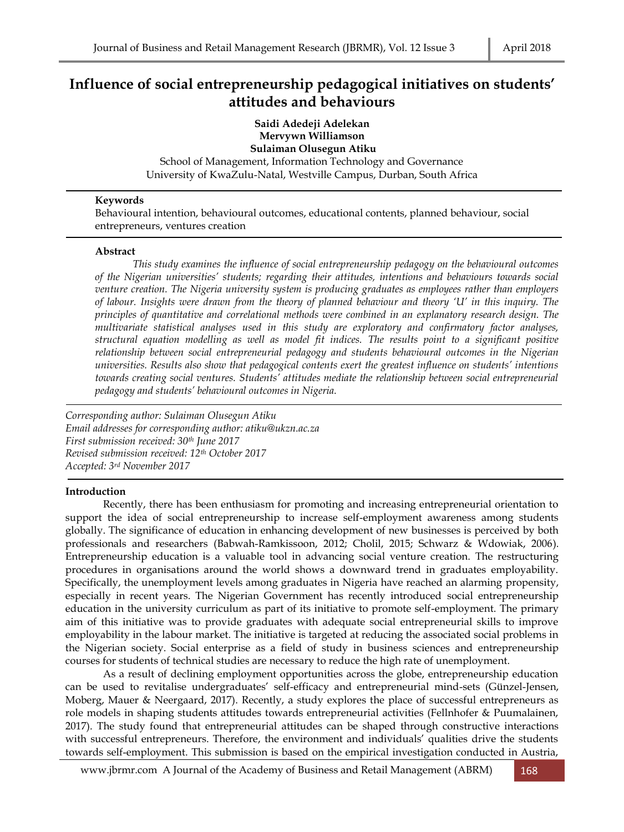# **Influence of social entrepreneurship pedagogical initiatives on students' attitudes and behaviours**

**Saidi Adedeji Adelekan Mervywn Williamson Sulaiman Olusegun Atiku**

School of Management, Information Technology and Governance University of KwaZulu-Natal, Westville Campus, Durban, South Africa

## **Keywords**

Behavioural intention, behavioural outcomes, educational contents, planned behaviour, social entrepreneurs, ventures creation

#### **Abstract**

*This study examines the influence of social entrepreneurship pedagogy on the behavioural outcomes of the Nigerian universities' students; regarding their attitudes, intentions and behaviours towards social venture creation. The Nigeria university system is producing graduates as employees rather than employers of labour. Insights were drawn from the theory of planned behaviour and theory 'U' in this inquiry. The principles of quantitative and correlational methods were combined in an explanatory research design. The multivariate statistical analyses used in this study are exploratory and confirmatory factor analyses, structural equation modelling as well as model fit indices. The results point to a significant positive relationship between social entrepreneurial pedagogy and students behavioural outcomes in the Nigerian universities. Results also show that pedagogical contents exert the greatest influence on students' intentions towards creating social ventures. Students' attitudes mediate the relationship between social entrepreneurial pedagogy and students' behavioural outcomes in Nigeria.*

*Corresponding author: Sulaiman Olusegun Atiku Email addresses for corresponding author: atiku@ukzn.ac.za First submission received: 30th June 2017 Revised submission received: 12th October 2017 Accepted: 3rd November 2017*

## **Introduction**

Recently, there has been enthusiasm for promoting and increasing entrepreneurial orientation to support the idea of social entrepreneurship to increase self-employment awareness among students globally. The significance of education in enhancing development of new businesses is perceived by both professionals and researchers (Babwah-Ramkissoon, 2012; Cholil, 2015; Schwarz & Wdowiak, 2006). Entrepreneurship education is a valuable tool in advancing social venture creation. The restructuring procedures in organisations around the world shows a downward trend in graduates employability. Specifically, the unemployment levels among graduates in Nigeria have reached an alarming propensity, especially in recent years. The Nigerian Government has recently introduced social entrepreneurship education in the university curriculum as part of its initiative to promote self-employment. The primary aim of this initiative was to provide graduates with adequate social entrepreneurial skills to improve employability in the labour market. The initiative is targeted at reducing the associated social problems in the Nigerian society. Social enterprise as a field of study in business sciences and entrepreneurship courses for students of technical studies are necessary to reduce the high rate of unemployment.

As a result of declining employment opportunities across the globe, entrepreneurship education can be used to revitalise undergraduates' self-efficacy and entrepreneurial mind-sets (Günzel-Jensen, Moberg, Mauer & Neergaard, 2017). Recently, a study explores the place of successful entrepreneurs as role models in shaping students attitudes towards entrepreneurial activities (Fellnhofer & Puumalainen, 2017). The study found that entrepreneurial attitudes can be shaped through constructive interactions with successful entrepreneurs. Therefore, the environment and individuals' qualities drive the students towards self-employment. This submission is based on the empirical investigation conducted in Austria,

[www.jbrmr.com](http://www.jbrmr.com/) A Journal of the Academy of Business and Retail Management (ABRM) 168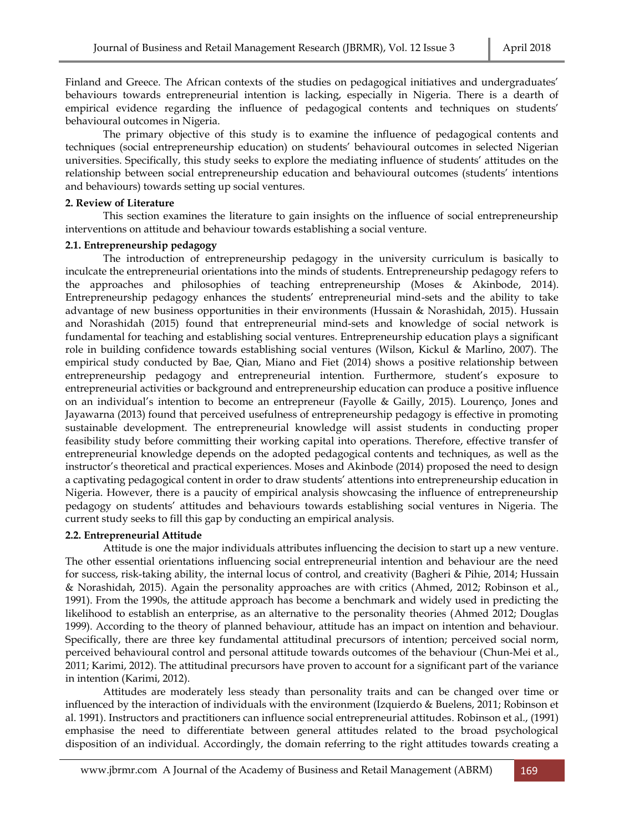Finland and Greece. The African contexts of the studies on pedagogical initiatives and undergraduates' behaviours towards entrepreneurial intention is lacking, especially in Nigeria. There is a dearth of empirical evidence regarding the influence of pedagogical contents and techniques on students' behavioural outcomes in Nigeria.

The primary objective of this study is to examine the influence of pedagogical contents and techniques (social entrepreneurship education) on students' behavioural outcomes in selected Nigerian universities. Specifically, this study seeks to explore the mediating influence of students' attitudes on the relationship between social entrepreneurship education and behavioural outcomes (students' intentions and behaviours) towards setting up social ventures.

## **2. Review of Literature**

This section examines the literature to gain insights on the influence of social entrepreneurship interventions on attitude and behaviour towards establishing a social venture.

# **2.1. Entrepreneurship pedagogy**

The introduction of entrepreneurship pedagogy in the university curriculum is basically to inculcate the entrepreneurial orientations into the minds of students. Entrepreneurship pedagogy refers to the approaches and philosophies of teaching entrepreneurship (Moses & Akinbode, 2014). Entrepreneurship pedagogy enhances the students' entrepreneurial mind-sets and the ability to take advantage of new business opportunities in their environments (Hussain & Norashidah, 2015). Hussain and Norashidah (2015) found that entrepreneurial mind-sets and knowledge of social network is fundamental for teaching and establishing social ventures. Entrepreneurship education plays a significant role in building confidence towards establishing social ventures (Wilson, Kickul & Marlino, 2007). The empirical study conducted by Bae, Qian, Miano and Fiet (2014) shows a positive relationship between entrepreneurship pedagogy and entrepreneurial intention. Furthermore, student's exposure to entrepreneurial activities or background and entrepreneurship education can produce a positive influence on an individual's intention to become an entrepreneur (Fayolle & Gailly, 2015). Lourenço, Jones and Jayawarna (2013) found that perceived usefulness of entrepreneurship pedagogy is effective in promoting sustainable development. The entrepreneurial knowledge will assist students in conducting proper feasibility study before committing their working capital into operations. Therefore, effective transfer of entrepreneurial knowledge depends on the adopted pedagogical contents and techniques, as well as the instructor's theoretical and practical experiences. Moses and Akinbode (2014) proposed the need to design a captivating pedagogical content in order to draw students' attentions into entrepreneurship education in Nigeria. However, there is a paucity of empirical analysis showcasing the influence of entrepreneurship pedagogy on students' attitudes and behaviours towards establishing social ventures in Nigeria. The current study seeks to fill this gap by conducting an empirical analysis.

# **2.2. Entrepreneurial Attitude**

Attitude is one the major individuals attributes influencing the decision to start up a new venture. The other essential orientations influencing social entrepreneurial intention and behaviour are the need for success, risk-taking ability, the internal locus of control, and creativity (Bagheri & Pihie, 2014; Hussain & Norashidah, 2015). Again the personality approaches are with critics (Ahmed, 2012; Robinson et al., 1991). From the 1990s, the attitude approach has become a benchmark and widely used in predicting the likelihood to establish an enterprise, as an alternative to the personality theories (Ahmed 2012; Douglas 1999). According to the theory of planned behaviour, attitude has an impact on intention and behaviour. Specifically, there are three key fundamental attitudinal precursors of intention; perceived social norm, perceived behavioural control and personal attitude towards outcomes of the behaviour (Chun-Mei et al., 2011; Karimi, 2012). The attitudinal precursors have proven to account for a significant part of the variance in intention (Karimi, 2012).

Attitudes are moderately less steady than personality traits and can be changed over time or influenced by the interaction of individuals with the environment (Izquierdo & Buelens, 2011; Robinson et al. 1991). Instructors and practitioners can influence social entrepreneurial attitudes. Robinson et al., (1991) emphasise the need to differentiate between general attitudes related to the broad psychological disposition of an individual. Accordingly, the domain referring to the right attitudes towards creating a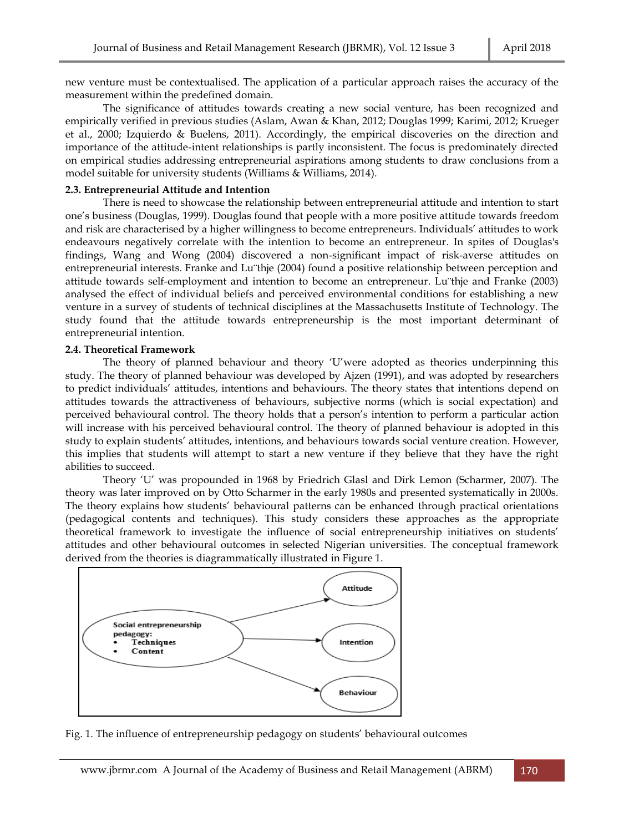new venture must be contextualised. The application of a particular approach raises the accuracy of the measurement within the predefined domain.

The significance of attitudes towards creating a new social venture, has been recognized and empirically verified in previous studies (Aslam, Awan & Khan, 2012; Douglas 1999; Karimi, 2012; Krueger et al., 2000; Izquierdo & Buelens, 2011). Accordingly, the empirical discoveries on the direction and importance of the attitude-intent relationships is partly inconsistent. The focus is predominately directed on empirical studies addressing entrepreneurial aspirations among students to draw conclusions from a model suitable for university students (Williams & Williams, 2014).

## **2.3. Entrepreneurial Attitude and Intention**

There is need to showcase the relationship between entrepreneurial attitude and intention to start one's business (Douglas, 1999). Douglas found that people with a more positive attitude towards freedom and risk are characterised by a higher willingness to become entrepreneurs. Individuals' attitudes to work endeavours negatively correlate with the intention to become an entrepreneur. In spites of Douglas's findings, Wang and Wong (2004) discovered a non-significant impact of risk-averse attitudes on entrepreneurial interests. Franke and Lu¨thje (2004) found a positive relationship between perception and attitude towards self-employment and intention to become an entrepreneur. Lu¨thje and Franke (2003) analysed the effect of individual beliefs and perceived environmental conditions for establishing a new venture in a survey of students of technical disciplines at the Massachusetts Institute of Technology. The study found that the attitude towards entrepreneurship is the most important determinant of entrepreneurial intention.

## **2.4. Theoretical Framework**

The theory of planned behaviour and theory 'U'were adopted as theories underpinning this study. The theory of planned behaviour was developed by Ajzen (1991), and was adopted by researchers to predict individuals' attitudes, intentions and behaviours. The theory states that intentions depend on attitudes towards the attractiveness of behaviours, subjective norms (which is social expectation) and perceived behavioural control. The theory holds that a person's intention to perform a particular action will increase with his perceived behavioural control. The theory of planned behaviour is adopted in this study to explain students' attitudes, intentions, and behaviours towards social venture creation. However, this implies that students will attempt to start a new venture if they believe that they have the right abilities to succeed.

Theory 'U' was propounded in 1968 by Friedrich Glasl and Dirk Lemon (Scharmer, 2007). The theory was later improved on by Otto Scharmer in the early 1980s and presented systematically in 2000s. The theory explains how students' behavioural patterns can be enhanced through practical orientations (pedagogical contents and techniques). This study considers these approaches as the appropriate theoretical framework to investigate the influence of social entrepreneurship initiatives on students' attitudes and other behavioural outcomes in selected Nigerian universities. The conceptual framework derived from the theories is diagrammatically illustrated in Figure 1.



## Fig. 1. The influence of entrepreneurship pedagogy on students' behavioural outcomes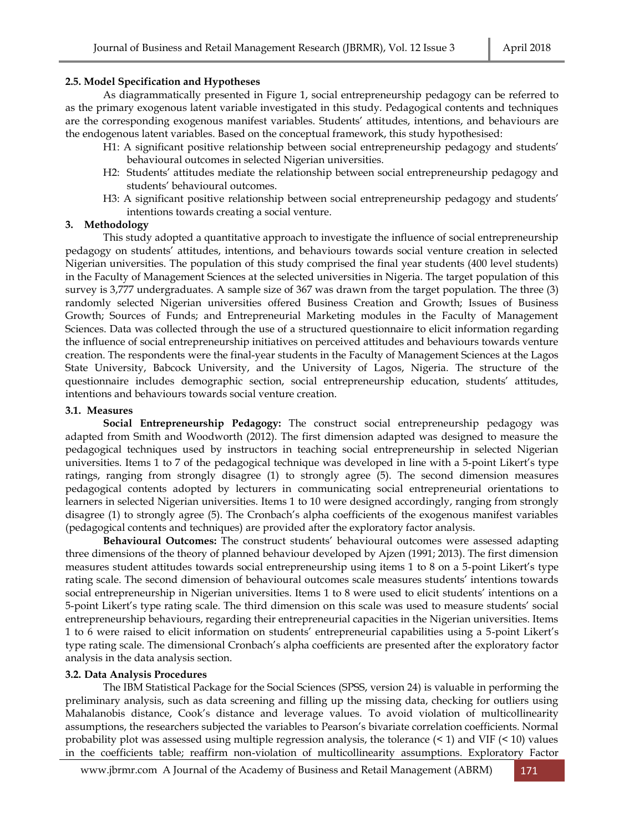#### **2.5. Model Specification and Hypotheses**

As diagrammatically presented in Figure 1, social entrepreneurship pedagogy can be referred to as the primary exogenous latent variable investigated in this study. Pedagogical contents and techniques are the corresponding exogenous manifest variables. Students' attitudes, intentions, and behaviours are the endogenous latent variables. Based on the conceptual framework, this study hypothesised:

- H1: A significant positive relationship between social entrepreneurship pedagogy and students' behavioural outcomes in selected Nigerian universities.
- H2: Students' attitudes mediate the relationship between social entrepreneurship pedagogy and students' behavioural outcomes.
- H3: A significant positive relationship between social entrepreneurship pedagogy and students' intentions towards creating a social venture.

#### **3. Methodology**

This study adopted a quantitative approach to investigate the influence of social entrepreneurship pedagogy on students' attitudes, intentions, and behaviours towards social venture creation in selected Nigerian universities. The population of this study comprised the final year students (400 level students) in the Faculty of Management Sciences at the selected universities in Nigeria. The target population of this survey is 3,777 undergraduates. A sample size of 367 was drawn from the target population. The three (3) randomly selected Nigerian universities offered Business Creation and Growth; Issues of Business Growth; Sources of Funds; and Entrepreneurial Marketing modules in the Faculty of Management Sciences. Data was collected through the use of a structured questionnaire to elicit information regarding the influence of social entrepreneurship initiatives on perceived attitudes and behaviours towards venture creation. The respondents were the final-year students in the Faculty of Management Sciences at the Lagos State University, Babcock University, and the University of Lagos, Nigeria. The structure of the questionnaire includes demographic section, social entrepreneurship education, students' attitudes, intentions and behaviours towards social venture creation.

#### **3.1. Measures**

**Social Entrepreneurship Pedagogy:** The construct social entrepreneurship pedagogy was adapted from Smith and Woodworth (2012). The first dimension adapted was designed to measure the pedagogical techniques used by instructors in teaching social entrepreneurship in selected Nigerian universities. Items 1 to 7 of the pedagogical technique was developed in line with a 5-point Likert's type ratings, ranging from strongly disagree (1) to strongly agree (5). The second dimension measures pedagogical contents adopted by lecturers in communicating social entrepreneurial orientations to learners in selected Nigerian universities. Items 1 to 10 were designed accordingly, ranging from strongly disagree (1) to strongly agree (5). The Cronbach's alpha coefficients of the exogenous manifest variables (pedagogical contents and techniques) are provided after the exploratory factor analysis.

**Behavioural Outcomes:** The construct students' behavioural outcomes were assessed adapting three dimensions of the theory of planned behaviour developed by Ajzen (1991; 2013). The first dimension measures student attitudes towards social entrepreneurship using items 1 to 8 on a 5-point Likert's type rating scale. The second dimension of behavioural outcomes scale measures students' intentions towards social entrepreneurship in Nigerian universities. Items 1 to 8 were used to elicit students' intentions on a 5-point Likert's type rating scale. The third dimension on this scale was used to measure students' social entrepreneurship behaviours, regarding their entrepreneurial capacities in the Nigerian universities. Items 1 to 6 were raised to elicit information on students' entrepreneurial capabilities using a 5-point Likert's type rating scale. The dimensional Cronbach's alpha coefficients are presented after the exploratory factor analysis in the data analysis section.

## **3.2. Data Analysis Procedures**

The IBM Statistical Package for the Social Sciences (SPSS, version 24) is valuable in performing the preliminary analysis, such as data screening and filling up the missing data, checking for outliers using Mahalanobis distance, Cook's distance and leverage values. To avoid violation of multicollinearity assumptions, the researchers subjected the variables to Pearson's bivariate correlation coefficients. Normal probability plot was assessed using multiple regression analysis, the tolerance  $($  < 1) and VIF  $($  < 10) values in the coefficients table; reaffirm non-violation of multicollinearity assumptions. Exploratory Factor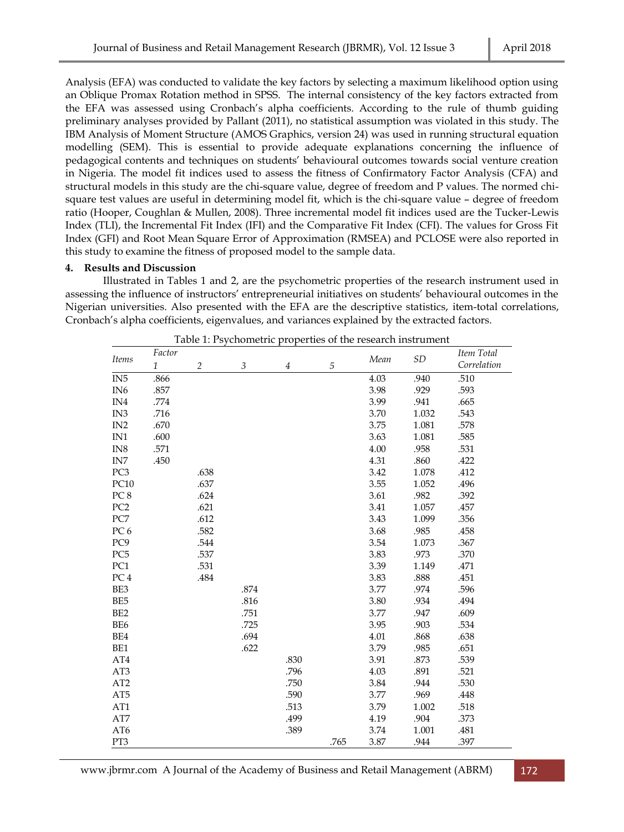Analysis (EFA) was conducted to validate the key factors by selecting a maximum likelihood option using an Oblique Promax Rotation method in SPSS. The internal consistency of the key factors extracted from the EFA was assessed using Cronbach's alpha coefficients. According to the rule of thumb guiding preliminary analyses provided by Pallant (2011), no statistical assumption was violated in this study. The IBM Analysis of Moment Structure (AMOS Graphics, version 24) was used in running structural equation modelling (SEM). This is essential to provide adequate explanations concerning the influence of pedagogical contents and techniques on students' behavioural outcomes towards social venture creation in Nigeria. The model fit indices used to assess the fitness of Confirmatory Factor Analysis (CFA) and structural models in this study are the chi-square value, degree of freedom and P values. The normed chisquare test values are useful in determining model fit, which is the chi-square value – degree of freedom ratio (Hooper, Coughlan & Mullen, 2008). Three incremental model fit indices used are the Tucker-Lewis Index (TLI), the Incremental Fit Index (IFI) and the Comparative Fit Index (CFI). The values for Gross Fit Index (GFI) and Root Mean Square Error of Approximation (RMSEA) and PCLOSE were also reported in this study to examine the fitness of proposed model to the sample data.

# **4. Results and Discussion**

Illustrated in Tables 1 and 2, are the psychometric properties of the research instrument used in assessing the influence of instructors' entrepreneurial initiatives on students' behavioural outcomes in the Nigerian universities. Also presented with the EFA are the descriptive statistics, item-total correlations, Cronbach's alpha coefficients, eigenvalues, and variances explained by the extracted factors.

| Items                     | Factor       |                |      |                |      |      | Item Total                 |             |
|---------------------------|--------------|----------------|------|----------------|------|------|----------------------------|-------------|
|                           | $\mathbf{1}$ | $\overline{2}$ | 3    | $\overline{4}$ | 5    | Mean | $\ensuremath{\mathit{SD}}$ | Correlation |
| IN5                       | .866         |                |      |                |      | 4.03 | .940                       | .510        |
| IN <sub>6</sub>           | .857         |                |      |                |      | 3.98 | .929                       | .593        |
| IN4                       | .774         |                |      |                |      | 3.99 | .941                       | .665        |
| IN <sub>3</sub>           | .716         |                |      |                |      | 3.70 | 1.032                      | .543        |
| IN <sub>2</sub>           | .670         |                |      |                |      | 3.75 | 1.081                      | .578        |
| IN1                       | .600         |                |      |                |      | 3.63 | 1.081                      | .585        |
| IN <sub>8</sub>           | .571         |                |      |                |      | 4.00 | .958                       | .531        |
| $\ensuremath{\text{IN7}}$ | .450         |                |      |                |      | 4.31 | .860                       | .422        |
| PC <sub>3</sub>           |              | .638           |      |                |      | 3.42 | 1.078                      | .412        |
| PC10                      |              | .637           |      |                |      | 3.55 | 1.052                      | .496        |
| PC <sub>8</sub>           |              | .624           |      |                |      | 3.61 | .982                       | .392        |
| PC <sub>2</sub>           |              | .621           |      |                |      | 3.41 | 1.057                      | .457        |
| PC7                       |              | .612           |      |                |      | 3.43 | 1.099                      | .356        |
| PC <sub>6</sub>           |              | .582           |      |                |      | 3.68 | .985                       | .458        |
| PC9                       |              | .544           |      |                |      | 3.54 | 1.073                      | .367        |
| PC <sub>5</sub>           |              | .537           |      |                |      | 3.83 | .973                       | .370        |
| PC1                       |              | .531           |      |                |      | 3.39 | 1.149                      | .471        |
| PC <sub>4</sub>           |              | .484           |      |                |      | 3.83 | .888                       | .451        |
| BE3                       |              |                | .874 |                |      | 3.77 | .974                       | .596        |
| BE5                       |              |                | .816 |                |      | 3.80 | .934                       | .494        |
| BE <sub>2</sub>           |              |                | .751 |                |      | 3.77 | .947                       | .609        |
| BE <sub>6</sub>           |              |                | .725 |                |      | 3.95 | .903                       | .534        |
| BE4                       |              |                | .694 |                |      | 4.01 | .868                       | .638        |
| BE1                       |              |                | .622 |                |      | 3.79 | .985                       | .651        |
| AT4                       |              |                |      | .830           |      | 3.91 | .873                       | .539        |
| AT3                       |              |                |      | .796           |      | 4.03 | .891                       | .521        |
| AT2                       |              |                |      | .750           |      | 3.84 | .944                       | .530        |
| AT <sub>5</sub>           |              |                |      | .590           |      | 3.77 | .969                       | .448        |
| AT1                       |              |                |      | .513           |      | 3.79 | 1.002                      | .518        |
| AT7                       |              |                |      | .499           |      | 4.19 | .904                       | .373        |
| AT6                       |              |                |      | .389           |      | 3.74 | 1.001                      | .481        |
| PT3                       |              |                |      |                | .765 | 3.87 | .944                       | .397        |

Table 1: Psychometric properties of the research instrument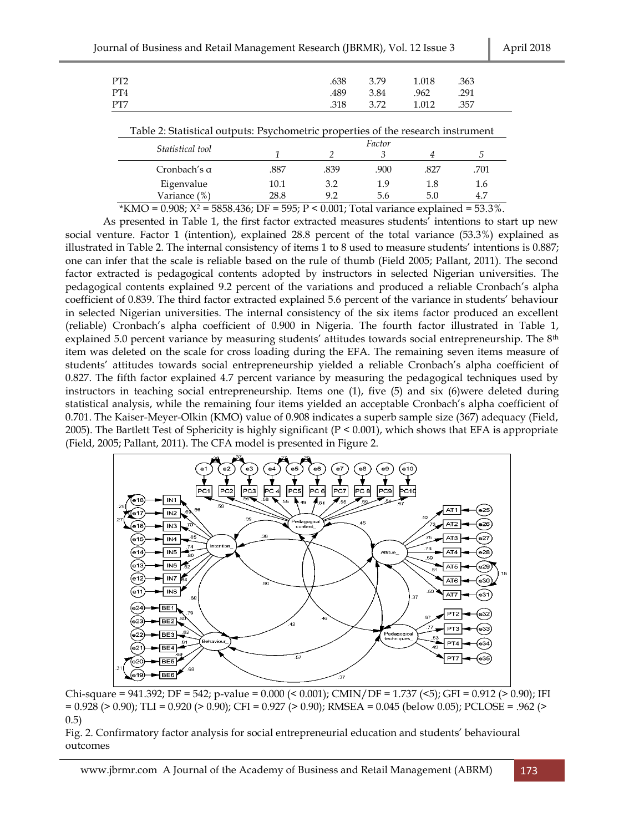| PT <sub>2</sub> | .638 | 3.79 | 1.018 | .363 |  |
|-----------------|------|------|-------|------|--|
| PT4             | .489 | 3.84 | .962  | .291 |  |
| PT7             | .318 | 3.72 | 1.012 | .357 |  |

| Table 2: Statistical outputs: Psychometric properties of the research instrument |
|----------------------------------------------------------------------------------|
|----------------------------------------------------------------------------------|

| Statistical tool | Factor |      |      |      |      |  |  |
|------------------|--------|------|------|------|------|--|--|
|                  |        |      |      |      |      |  |  |
| Cronbach's a     | .887   | .839 | .900 | .827 | .701 |  |  |
| Eigenvalue       | 10.1   | 3.2  | 1.9  | 1.8  | 1.6  |  |  |
| Variance (%)     | 28.8   | 9.2  | 5.6  | 5.0  | 4.7  |  |  |

\*KMO = 0.908; X<sup>2</sup> = 5858.436; DF = 595; P < 0.001; Total variance explained = 53.3%.

As presented in Table 1, the first factor extracted measures students' intentions to start up new social venture. Factor 1 (intention), explained 28.8 percent of the total variance (53.3%) explained as illustrated in Table 2. The internal consistency of items 1 to 8 used to measure students' intentions is 0.887; one can infer that the scale is reliable based on the rule of thumb (Field 2005; Pallant, 2011). The second factor extracted is pedagogical contents adopted by instructors in selected Nigerian universities. The pedagogical contents explained 9.2 percent of the variations and produced a reliable Cronbach's alpha coefficient of 0.839. The third factor extracted explained 5.6 percent of the variance in students' behaviour in selected Nigerian universities. The internal consistency of the six items factor produced an excellent (reliable) Cronbach's alpha coefficient of 0.900 in Nigeria. The fourth factor illustrated in Table 1, explained 5.0 percent variance by measuring students' attitudes towards social entrepreneurship. The 8<sup>th</sup> item was deleted on the scale for cross loading during the EFA. The remaining seven items measure of students' attitudes towards social entrepreneurship yielded a reliable Cronbach's alpha coefficient of 0.827. The fifth factor explained 4.7 percent variance by measuring the pedagogical techniques used by instructors in teaching social entrepreneurship. Items one (1), five (5) and six (6)were deleted during statistical analysis, while the remaining four items yielded an acceptable Cronbach's alpha coefficient of 0.701. The Kaiser-Meyer-Olkin (KMO) value of 0.908 indicates a superb sample size (367) adequacy (Field, 2005). The Bartlett Test of Sphericity is highly significant (P < 0.001), which shows that EFA is appropriate (Field, 2005; Pallant, 2011). The CFA model is presented in Figure 2.



Chi-square = 941.392; DF = 542; p-value = 0.000 (< 0.001); CMIN/DF = 1.737 (<5); GFI = 0.912 (> 0.90); IFI = 0.928 (> 0.90); TLI = 0.920 (> 0.90); CFI = 0.927 (> 0.90); RMSEA = 0.045 (below 0.05); PCLOSE = .962 (> 0.5)

Fig. 2. Confirmatory factor analysis for social entrepreneurial education and students' behavioural outcomes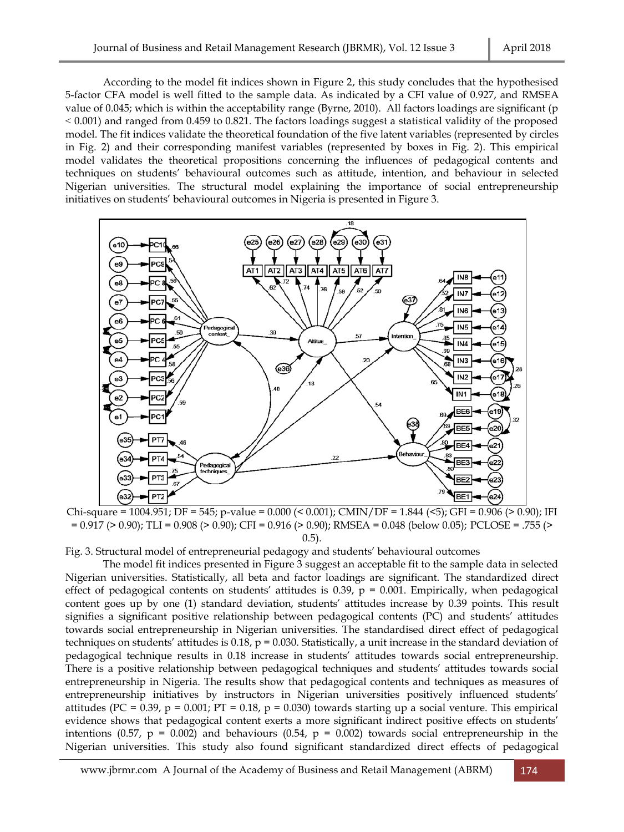According to the model fit indices shown in Figure 2, this study concludes that the hypothesised 5-factor CFA model is well fitted to the sample data. As indicated by a CFI value of 0.927, and RMSEA value of 0.045; which is within the acceptability range (Byrne, 2010). All factors loadings are significant (p ˂ 0.001) and ranged from 0.459 to 0.821. The factors loadings suggest a statistical validity of the proposed model. The fit indices validate the theoretical foundation of the five latent variables (represented by circles in Fig. 2) and their corresponding manifest variables (represented by boxes in Fig. 2). This empirical model validates the theoretical propositions concerning the influences of pedagogical contents and techniques on students' behavioural outcomes such as attitude, intention, and behaviour in selected Nigerian universities. The structural model explaining the importance of social entrepreneurship initiatives on students' behavioural outcomes in Nigeria is presented in Figure 3.



Chi-square = 1004.951; DF = 545; p-value = 0.000 (< 0.001); CMIN/DF = 1.844 (<5); GFI = 0.906 (> 0.90); IFI = 0.917 (> 0.90); TLI = 0.908 (> 0.90); CFI = 0.916 (> 0.90); RMSEA = 0.048 (below 0.05); PCLOSE = .755 (> 0.5).

Fig. 3. Structural model of entrepreneurial pedagogy and students' behavioural outcomes

The model fit indices presented in Figure 3 suggest an acceptable fit to the sample data in selected Nigerian universities. Statistically, all beta and factor loadings are significant. The standardized direct effect of pedagogical contents on students' attitudes is 0.39,  $p = 0.001$ . Empirically, when pedagogical content goes up by one (1) standard deviation, students' attitudes increase by 0.39 points. This result signifies a significant positive relationship between pedagogical contents (PC) and students' attitudes towards social entrepreneurship in Nigerian universities. The standardised direct effect of pedagogical techniques on students' attitudes is 0.18,  $p = 0.030$ . Statistically, a unit increase in the standard deviation of pedagogical technique results in 0.18 increase in students' attitudes towards social entrepreneurship. There is a positive relationship between pedagogical techniques and students' attitudes towards social entrepreneurship in Nigeria. The results show that pedagogical contents and techniques as measures of entrepreneurship initiatives by instructors in Nigerian universities positively influenced students' attitudes (PC = 0.39, p = 0.001; PT = 0.18, p = 0.030) towards starting up a social venture. This empirical evidence shows that pedagogical content exerts a more significant indirect positive effects on students' intentions (0.57,  $p = 0.002$ ) and behaviours (0.54,  $p = 0.002$ ) towards social entrepreneurship in the Nigerian universities. This study also found significant standardized direct effects of pedagogical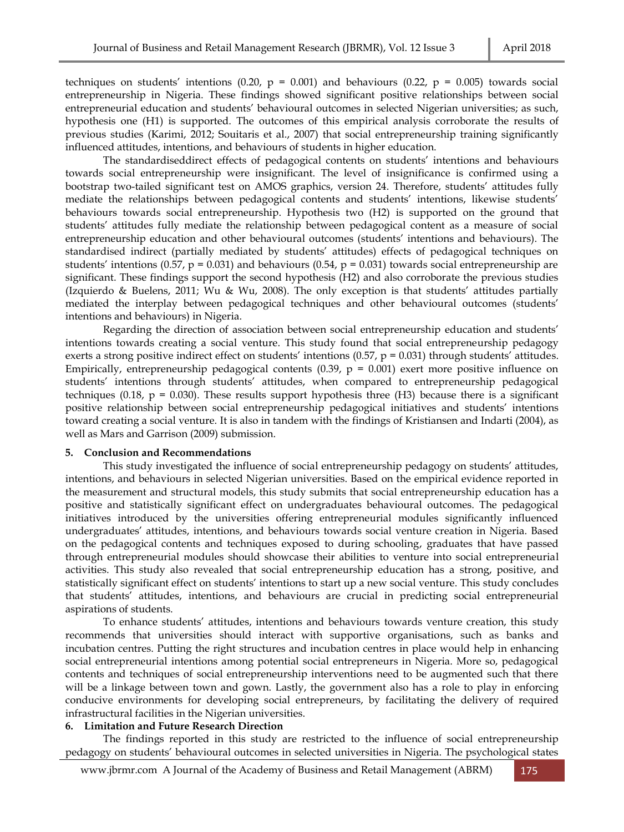techniques on students' intentions (0.20,  $p = 0.001$ ) and behaviours (0.22,  $p = 0.005$ ) towards social entrepreneurship in Nigeria. These findings showed significant positive relationships between social entrepreneurial education and students' behavioural outcomes in selected Nigerian universities; as such, hypothesis one (H1) is supported. The outcomes of this empirical analysis corroborate the results of previous studies (Karimi, 2012; Souitaris et al., 2007) that social entrepreneurship training significantly influenced attitudes, intentions, and behaviours of students in higher education.

The standardiseddirect effects of pedagogical contents on students' intentions and behaviours towards social entrepreneurship were insignificant. The level of insignificance is confirmed using a bootstrap two-tailed significant test on AMOS graphics, version 24. Therefore, students' attitudes fully mediate the relationships between pedagogical contents and students' intentions, likewise students' behaviours towards social entrepreneurship. Hypothesis two (H2) is supported on the ground that students' attitudes fully mediate the relationship between pedagogical content as a measure of social entrepreneurship education and other behavioural outcomes (students' intentions and behaviours). The standardised indirect (partially mediated by students' attitudes) effects of pedagogical techniques on students' intentions (0.57, p = 0.031) and behaviours (0.54, p = 0.031) towards social entrepreneurship are significant. These findings support the second hypothesis (H2) and also corroborate the previous studies (Izquierdo & Buelens, 2011; Wu & Wu, 2008). The only exception is that students' attitudes partially mediated the interplay between pedagogical techniques and other behavioural outcomes (students' intentions and behaviours) in Nigeria.

Regarding the direction of association between social entrepreneurship education and students' intentions towards creating a social venture. This study found that social entrepreneurship pedagogy exerts a strong positive indirect effect on students' intentions  $(0.57, p = 0.031)$  through students' attitudes. Empirically, entrepreneurship pedagogical contents  $(0.39, p = 0.001)$  exert more positive influence on students' intentions through students' attitudes, when compared to entrepreneurship pedagogical techniques (0.18,  $p = 0.030$ ). These results support hypothesis three (H3) because there is a significant positive relationship between social entrepreneurship pedagogical initiatives and students' intentions toward creating a social venture. It is also in tandem with the findings of Kristiansen and Indarti (2004), as well as Mars and Garrison (2009) submission.

## **5. Conclusion and Recommendations**

This study investigated the influence of social entrepreneurship pedagogy on students' attitudes, intentions, and behaviours in selected Nigerian universities. Based on the empirical evidence reported in the measurement and structural models, this study submits that social entrepreneurship education has a positive and statistically significant effect on undergraduates behavioural outcomes. The pedagogical initiatives introduced by the universities offering entrepreneurial modules significantly influenced undergraduates' attitudes, intentions, and behaviours towards social venture creation in Nigeria. Based on the pedagogical contents and techniques exposed to during schooling, graduates that have passed through entrepreneurial modules should showcase their abilities to venture into social entrepreneurial activities. This study also revealed that social entrepreneurship education has a strong, positive, and statistically significant effect on students' intentions to start up a new social venture. This study concludes that students' attitudes, intentions, and behaviours are crucial in predicting social entrepreneurial aspirations of students.

To enhance students' attitudes, intentions and behaviours towards venture creation, this study recommends that universities should interact with supportive organisations, such as banks and incubation centres. Putting the right structures and incubation centres in place would help in enhancing social entrepreneurial intentions among potential social entrepreneurs in Nigeria. More so, pedagogical contents and techniques of social entrepreneurship interventions need to be augmented such that there will be a linkage between town and gown. Lastly, the government also has a role to play in enforcing conducive environments for developing social entrepreneurs, by facilitating the delivery of required infrastructural facilities in the Nigerian universities.

## **6. Limitation and Future Research Direction**

The findings reported in this study are restricted to the influence of social entrepreneurship pedagogy on students' behavioural outcomes in selected universities in Nigeria. The psychological states

[www.jbrmr.com](http://www.jbrmr.com/) A Journal of the Academy of Business and Retail Management (ABRM) 175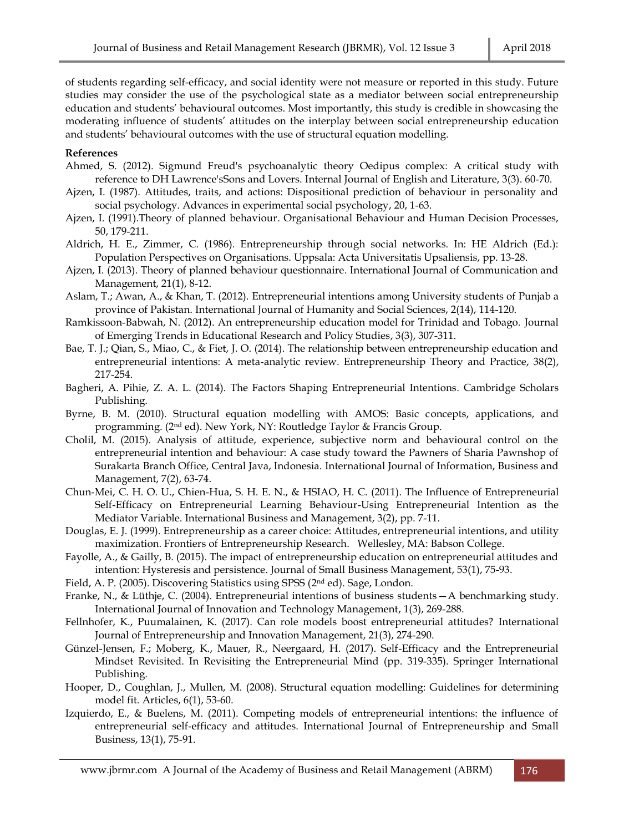of students regarding self-efficacy, and social identity were not measure or reported in this study. Future studies may consider the use of the psychological state as a mediator between social entrepreneurship education and students' behavioural outcomes. Most importantly, this study is credible in showcasing the moderating influence of students' attitudes on the interplay between social entrepreneurship education and students' behavioural outcomes with the use of structural equation modelling.

# **References**

- Ahmed, S. (2012). Sigmund Freud's psychoanalytic theory Oedipus complex: A critical study with reference to DH Lawrence'sSons and Lovers. Internal Journal of English and Literature, 3(3). 60-70.
- Ajzen, I. (1987). Attitudes, traits, and actions: Dispositional prediction of behaviour in personality and social psychology. Advances in experimental social psychology, 20, 1-63.
- Ajzen, I. (1991).Theory of planned behaviour. Organisational Behaviour and Human Decision Processes, 50, 179-211.
- Aldrich, H. E., Zimmer, C. (1986). Entrepreneurship through social networks. In: HE Aldrich (Ed.): Population Perspectives on Organisations. Uppsala: Acta Universitatis Upsaliensis, pp. 13-28.
- Ajzen, I. (2013). Theory of planned behaviour questionnaire. International Journal of Communication and Management, 21(1), 8-12.
- Aslam, T.; Awan, A., & Khan, T. (2012). Entrepreneurial intentions among University students of Punjab a province of Pakistan. International Journal of Humanity and Social Sciences, 2(14), 114-120.
- Ramkissoon-Babwah, N. (2012). An entrepreneurship education model for Trinidad and Tobago. Journal of Emerging Trends in Educational Research and Policy Studies, 3(3), 307-311.
- Bae, T. J.; Qian, S., Miao, C., & Fiet, J. O. (2014). The relationship between entrepreneurship education and entrepreneurial intentions: A meta-analytic review. Entrepreneurship Theory and Practice, 38(2), 217-254.
- Bagheri, A. Pihie, Z. A. L. (2014). The Factors Shaping Entrepreneurial Intentions. Cambridge Scholars Publishing.
- Byrne, B. M. (2010). Structural equation modelling with AMOS: Basic concepts, applications, and programming. (2<sup>nd</sup> ed). New York, NY: Routledge Taylor & Francis Group.
- Cholil, M. (2015). Analysis of attitude, experience, subjective norm and behavioural control on the entrepreneurial intention and behaviour: A case study toward the Pawners of Sharia Pawnshop of Surakarta Branch Office, Central Java, Indonesia. International Journal of Information, Business and Management, 7(2), 63-74.
- Chun-Mei, C. H. O. U., Chien-Hua, S. H. E. N., & HSIAO, H. C. (2011). The Influence of Entrepreneurial Self-Efficacy on Entrepreneurial Learning Behaviour-Using Entrepreneurial Intention as the Mediator Variable. International Business and Management, 3(2), pp. 7-11.
- Douglas, E. J. (1999). Entrepreneurship as a career choice: Attitudes, entrepreneurial intentions, and utility maximization. Frontiers of Entrepreneurship Research. Wellesley, MA: Babson College.
- Fayolle, A., & Gailly, B. (2015). The impact of entrepreneurship education on entrepreneurial attitudes and intention: Hysteresis and persistence. Journal of Small Business Management, 53(1), 75-93.
- Field, A. P. (2005). Discovering Statistics using SPSS (2 nd ed). Sage, London.
- Franke, N., & Lüthje, C. (2004). Entrepreneurial intentions of business students—A benchmarking study. International Journal of Innovation and Technology Management, 1(3), 269-288.
- Fellnhofer, K., Puumalainen, K. (2017). Can role models boost entrepreneurial attitudes? International Journal of Entrepreneurship and Innovation Management, 21(3), 274-290.
- Günzel-Jensen, F.; Moberg, K., Mauer, R., Neergaard, H. (2017). Self-Efficacy and the Entrepreneurial Mindset Revisited. In Revisiting the Entrepreneurial Mind (pp. 319-335). Springer International Publishing.
- Hooper, D., Coughlan, J., Mullen, M. (2008). Structural equation modelling: Guidelines for determining model fit. Articles, 6(1), 53-60.
- Izquierdo, E., & Buelens, M. (2011). Competing models of entrepreneurial intentions: the influence of entrepreneurial self-efficacy and attitudes. International Journal of Entrepreneurship and Small Business, 13(1), 75-91.